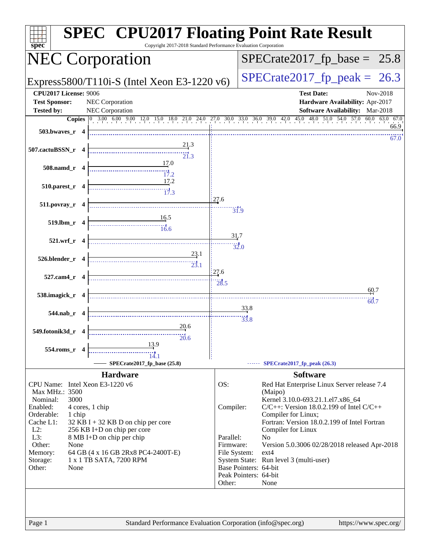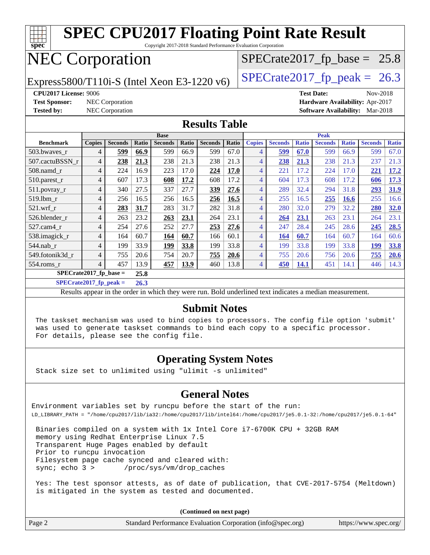| <b>SPEC CPU2017 Floating Point Rate Result</b><br><b>TTT</b><br>Copyright 2017-2018 Standard Performance Evaluation Corporation |                                   |                 |       |                |       |                |       |                |                |              |                   |              |                                        |              |
|---------------------------------------------------------------------------------------------------------------------------------|-----------------------------------|-----------------|-------|----------------|-------|----------------|-------|----------------|----------------|--------------|-------------------|--------------|----------------------------------------|--------------|
| spec<br><b>NEC Corporation</b><br>$SPECrate2017_fp\_base = 25.8$                                                                |                                   |                 |       |                |       |                |       |                |                |              |                   |              |                                        |              |
| $SPECTate2017_fp\_peak = 26.3$<br>Express5800/T110i-S (Intel Xeon E3-1220 v6)                                                   |                                   |                 |       |                |       |                |       |                |                |              |                   |              |                                        |              |
| <b>CPU2017 License: 9006</b>                                                                                                    |                                   |                 |       |                |       |                |       |                |                |              | <b>Test Date:</b> |              | Nov-2018                               |              |
| <b>Test Sponsor:</b>                                                                                                            |                                   | NEC Corporation |       |                |       |                |       |                |                |              |                   |              | Hardware Availability: Apr-2017        |              |
| <b>Tested by:</b>                                                                                                               |                                   | NEC Corporation |       |                |       |                |       |                |                |              |                   |              | <b>Software Availability:</b> Mar-2018 |              |
| <b>Results Table</b>                                                                                                            |                                   |                 |       |                |       |                |       |                |                |              |                   |              |                                        |              |
|                                                                                                                                 |                                   |                 |       | <b>Base</b>    |       |                |       |                |                |              | <b>Peak</b>       |              |                                        |              |
| <b>Benchmark</b>                                                                                                                | <b>Copies</b>                     | <b>Seconds</b>  | Ratio | <b>Seconds</b> | Ratio | <b>Seconds</b> | Ratio | <b>Copies</b>  | <b>Seconds</b> | <b>Ratio</b> | <b>Seconds</b>    | <b>Ratio</b> | <b>Seconds</b>                         | <b>Ratio</b> |
| 503.bwaves_r                                                                                                                    | $\overline{4}$                    | 599             | 66.9  | 599            | 66.9  | 599            | 67.0  | $\overline{4}$ | 599            | 67.0         | 599               | 66.9         | 599                                    | 67.0         |
| 507.cactuBSSN r                                                                                                                 | $\overline{4}$                    | 238             | 21.3  | 238            | 21.3  | 238            | 21.3  | $\overline{4}$ | 238            | 21.3         | 238               | 21.3         | 237                                    | 21.3         |
| 508.namd_r                                                                                                                      | $\overline{4}$                    | 224             | 16.9  | 223            | 17.0  | 224            | 17.0  | $\overline{4}$ | 221            | 17.2         | 224               | 17.0         | 221                                    | 17.2         |
| 510.parest_r                                                                                                                    | $\overline{4}$                    | 607             | 17.3  | 608            | 17.2  | 608            | 17.2  | $\overline{4}$ | 604            | 17.3         | 608               | 17.2         | 606                                    | 17.3         |
| 511.povray_r                                                                                                                    | $\overline{4}$                    | 340             | 27.5  | 337            | 27.7  | 339            | 27.6  | $\overline{4}$ | 289            | 32.4         | 294               | 31.8         | 293                                    | 31.9         |
| 519.1bm r                                                                                                                       | 4                                 | 256             | 16.5  | 256            | 16.5  | 256            | 16.5  | $\overline{4}$ | 255            | 16.5         | 255               | <b>16.6</b>  | 255                                    | 16.6         |
| $521$ .wrf r                                                                                                                    | 4                                 | 283             | 31.7  | 283            | 31.7  | 282            | 31.8  | $\overline{4}$ | 280            | 32.0         | 279               | 32.2         | 280                                    | 32.0         |
| 526.blender_r                                                                                                                   | 4                                 | 263             | 23.2  | 263            | 23.1  | 264            | 23.1  | $\overline{4}$ | 264            | 23.1         | 263               | 23.1         | 264                                    | 23.1         |
| 527.cam4_r                                                                                                                      | 4                                 | 254             | 27.6  | 252            | 27.7  | 253            | 27.6  | $\overline{4}$ | 247            | 28.4         | 245               | 28.6         | 245                                    | 28.5         |
| 538.imagick_r                                                                                                                   | $\overline{4}$                    | 164             | 60.7  | 164            | 60.7  | 166            | 60.1  | $\overline{4}$ | 164            | 60.7         | 164               | 60.7         | 164                                    | 60.6         |
| 544.nab r                                                                                                                       | $\overline{4}$                    | 199             | 33.9  | 199            | 33.8  | 199            | 33.8  | $\overline{4}$ | 199            | 33.8         | 199               | 33.8         | 199                                    | 33.8         |
| 549.fotonik3d r                                                                                                                 | $\overline{4}$                    | 755             | 20.6  | 754            | 20.7  | 755            | 20.6  | $\overline{4}$ | 755            | 20.6         | 756               | 20.6         | 755                                    | 20.6         |
| $554$ .roms_r                                                                                                                   | $\overline{4}$                    | 457             | 13.9  | 457            | 13.9  | 460            | 13.8  | $\overline{4}$ | 450            | 14.1         | 451               | 14.1         | 446                                    | 14.3         |
|                                                                                                                                 | $SPECrate2017_fp\_base =$<br>25.8 |                 |       |                |       |                |       |                |                |              |                   |              |                                        |              |
| $SPECrate2017_fp_peak =$<br>26.3                                                                                                |                                   |                 |       |                |       |                |       |                |                |              |                   |              |                                        |              |
| Results appear in the order in which they were run. Bold underlined text indicates a median measurement.                        |                                   |                 |       |                |       |                |       |                |                |              |                   |              |                                        |              |

#### **[Submit Notes](http://www.spec.org/auto/cpu2017/Docs/result-fields.html#SubmitNotes)**

 The taskset mechanism was used to bind copies to processors. The config file option 'submit' was used to generate taskset commands to bind each copy to a specific processor. For details, please see the config file.

#### **[Operating System Notes](http://www.spec.org/auto/cpu2017/Docs/result-fields.html#OperatingSystemNotes)**

Stack size set to unlimited using "ulimit -s unlimited"

#### **[General Notes](http://www.spec.org/auto/cpu2017/Docs/result-fields.html#GeneralNotes)**

Environment variables set by runcpu before the start of the run: LD\_LIBRARY\_PATH = "/home/cpu2017/lib/ia32:/home/cpu2017/lib/intel64:/home/cpu2017/je5.0.1-32:/home/cpu2017/je5.0.1-64"

 Binaries compiled on a system with 1x Intel Core i7-6700K CPU + 32GB RAM memory using Redhat Enterprise Linux 7.5 Transparent Huge Pages enabled by default Prior to runcpu invocation Filesystem page cache synced and cleared with: sync; echo 3 > /proc/sys/vm/drop\_caches

 Yes: The test sponsor attests, as of date of publication, that CVE-2017-5754 (Meltdown) is mitigated in the system as tested and documented.

**(Continued on next page)**

| Page 2<br>Standard Performance Evaluation Corporation (info@spec.org) | https://www.spec.org/ |
|-----------------------------------------------------------------------|-----------------------|
|-----------------------------------------------------------------------|-----------------------|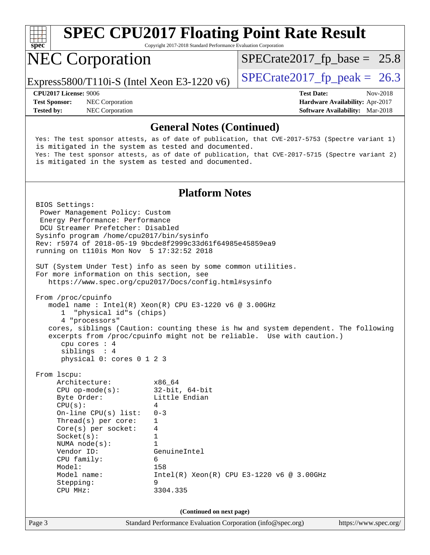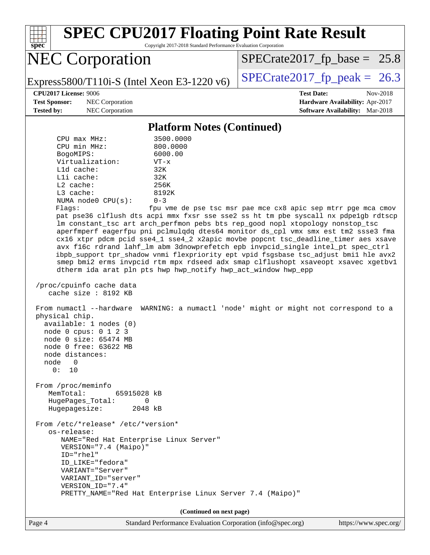

Page 4 Standard Performance Evaluation Corporation [\(info@spec.org\)](mailto:info@spec.org) <https://www.spec.org/>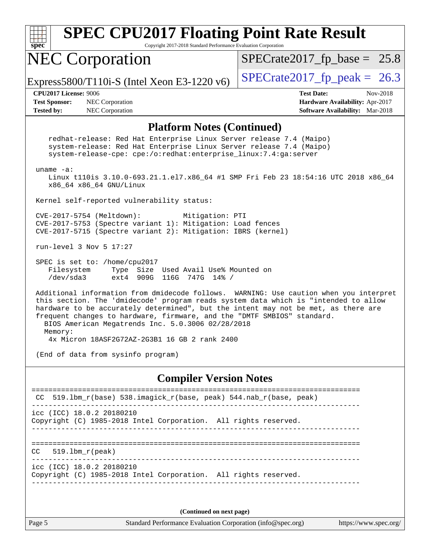| <b>SPEC CPU2017 Floating Point Rate Result</b><br>spec<br>Copyright 2017-2018 Standard Performance Evaluation Corporation                                                                                                                                                                                                                                                                           |                                                                                                     |  |  |  |  |  |
|-----------------------------------------------------------------------------------------------------------------------------------------------------------------------------------------------------------------------------------------------------------------------------------------------------------------------------------------------------------------------------------------------------|-----------------------------------------------------------------------------------------------------|--|--|--|--|--|
| <b>NEC Corporation</b>                                                                                                                                                                                                                                                                                                                                                                              | $SPECrate2017_fp\_base = 25.8$                                                                      |  |  |  |  |  |
| Express5800/T110i-S (Intel Xeon E3-1220 $v6$ )                                                                                                                                                                                                                                                                                                                                                      | $SPECTate2017_fp\_peak = 26.3$                                                                      |  |  |  |  |  |
| CPU2017 License: 9006<br><b>Test Sponsor:</b><br>NEC Corporation<br><b>Tested by:</b><br>NEC Corporation                                                                                                                                                                                                                                                                                            | <b>Test Date:</b><br>Nov-2018<br>Hardware Availability: Apr-2017<br>Software Availability: Mar-2018 |  |  |  |  |  |
| <b>Platform Notes (Continued)</b>                                                                                                                                                                                                                                                                                                                                                                   |                                                                                                     |  |  |  |  |  |
| redhat-release: Red Hat Enterprise Linux Server release 7.4 (Maipo)<br>system-release: Red Hat Enterprise Linux Server release 7.4 (Maipo)<br>system-release-cpe: cpe:/o:redhat:enterprise_linux:7.4:ga:server                                                                                                                                                                                      |                                                                                                     |  |  |  |  |  |
| uname $-a$ :<br>Linux t110is 3.10.0-693.21.1.el7.x86_64 #1 SMP Fri Feb 23 18:54:16 UTC 2018 x86_64<br>x86_64 x86_64 GNU/Linux                                                                                                                                                                                                                                                                       |                                                                                                     |  |  |  |  |  |
| Kernel self-reported vulnerability status:                                                                                                                                                                                                                                                                                                                                                          |                                                                                                     |  |  |  |  |  |
| CVE-2017-5754 (Meltdown):<br>Mitigation: PTI<br>CVE-2017-5753 (Spectre variant 1): Mitigation: Load fences<br>CVE-2017-5715 (Spectre variant 2): Mitigation: IBRS (kernel)                                                                                                                                                                                                                          |                                                                                                     |  |  |  |  |  |
| run-level 3 Nov 5 17:27                                                                                                                                                                                                                                                                                                                                                                             |                                                                                                     |  |  |  |  |  |
| SPEC is set to: /home/cpu2017<br>Filesystem<br>Type Size Used Avail Use% Mounted on<br>/dev/sda3<br>ext4 909G 116G 747G 14% /                                                                                                                                                                                                                                                                       |                                                                                                     |  |  |  |  |  |
| Additional information from dmidecode follows. WARNING: Use caution when you interpret<br>this section. The 'dmidecode' program reads system data which is "intended to allow<br>hardware to be accurately determined", but the intent may not be met, as there are<br>frequent changes to hardware, firmware, and the "DMTF SMBIOS" standard.<br>BIOS American Megatrends Inc. 5.0.3006 02/28/2018 |                                                                                                     |  |  |  |  |  |
| Memory:<br>4x Micron 18ASF2G72AZ-2G3B1 16 GB 2 rank 2400                                                                                                                                                                                                                                                                                                                                            |                                                                                                     |  |  |  |  |  |
| (End of data from sysinfo program)                                                                                                                                                                                                                                                                                                                                                                  |                                                                                                     |  |  |  |  |  |
| <b>Compiler Version Notes</b>                                                                                                                                                                                                                                                                                                                                                                       |                                                                                                     |  |  |  |  |  |
| 519.1bm_r(base) 538.imagick_r(base, peak) 544.nab_r(base, peak)                                                                                                                                                                                                                                                                                                                                     |                                                                                                     |  |  |  |  |  |
| icc (ICC) 18.0.2 20180210<br>Copyright (C) 1985-2018 Intel Corporation. All rights reserved.                                                                                                                                                                                                                                                                                                        |                                                                                                     |  |  |  |  |  |
| $519.1bm_r(peak)$<br>CC.                                                                                                                                                                                                                                                                                                                                                                            |                                                                                                     |  |  |  |  |  |
| icc (ICC) 18.0.2 20180210<br>Copyright (C) 1985-2018 Intel Corporation. All rights reserved.                                                                                                                                                                                                                                                                                                        |                                                                                                     |  |  |  |  |  |
| (Continued on next page)                                                                                                                                                                                                                                                                                                                                                                            |                                                                                                     |  |  |  |  |  |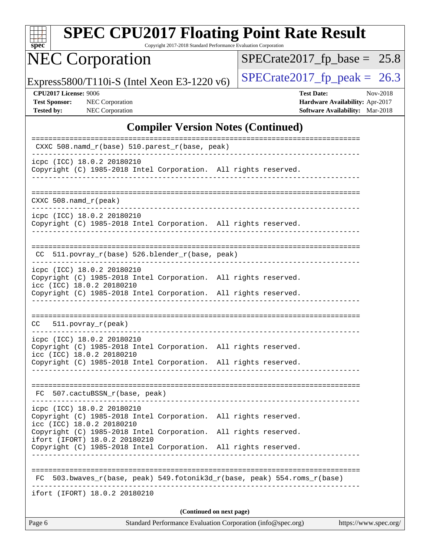| SI<br>pe<br>Ľ |  |  |  |  |  |
|---------------|--|--|--|--|--|

Copyright 2017-2018 Standard Performance Evaluation Corporation

# NEC Corporation

 $SPECrate2017_fp\_base = 25.8$ 

Express5800/T110i-S (Intel Xeon E3-1220 v6) [SPECrate2017\\_fp\\_peak =](http://www.spec.org/auto/cpu2017/Docs/result-fields.html#SPECrate2017fppeak) 26.3

| <b>CPU2017 License: 9006</b> |  |  |  |
|------------------------------|--|--|--|
|------------------------------|--|--|--|

**[CPU2017 License:](http://www.spec.org/auto/cpu2017/Docs/result-fields.html#CPU2017License)** 9006 **[Test Date:](http://www.spec.org/auto/cpu2017/Docs/result-fields.html#TestDate)** Nov-2018 **[Test Sponsor:](http://www.spec.org/auto/cpu2017/Docs/result-fields.html#TestSponsor)** NEC Corporation **[Hardware Availability:](http://www.spec.org/auto/cpu2017/Docs/result-fields.html#HardwareAvailability)** Apr-2017 **[Tested by:](http://www.spec.org/auto/cpu2017/Docs/result-fields.html#Testedby)** NEC Corporation **[Software Availability:](http://www.spec.org/auto/cpu2017/Docs/result-fields.html#SoftwareAvailability)** Mar-2018

### **[Compiler Version Notes \(Continued\)](http://www.spec.org/auto/cpu2017/Docs/result-fields.html#CompilerVersionNotes)**

| Page 6                                                                                                                     |  | Standard Performance Evaluation Corporation (info@spec.org) |  |  |                                                                       | https://www.spec.org/ |
|----------------------------------------------------------------------------------------------------------------------------|--|-------------------------------------------------------------|--|--|-----------------------------------------------------------------------|-----------------------|
| (Continued on next page)                                                                                                   |  |                                                             |  |  |                                                                       |                       |
| ifort (IFORT) 18.0.2 20180210                                                                                              |  |                                                             |  |  |                                                                       |                       |
| FC.                                                                                                                        |  |                                                             |  |  | 503.bwaves_r(base, peak) 549.fotonik3d_r(base, peak) 554.roms_r(base) |                       |
| Copyright (C) 1985-2018 Intel Corporation. All rights reserved.                                                            |  |                                                             |  |  |                                                                       |                       |
| Copyright (C) 1985-2018 Intel Corporation. All rights reserved.<br>ifort (IFORT) 18.0.2 20180210                           |  |                                                             |  |  |                                                                       |                       |
| icpc (ICC) 18.0.2 20180210<br>Copyright (C) 1985-2018 Intel Corporation. All rights reserved.<br>icc (ICC) 18.0.2 20180210 |  |                                                             |  |  |                                                                       |                       |
| FC 507.cactuBSSN_r(base, peak)                                                                                             |  |                                                             |  |  |                                                                       |                       |
| Copyright (C) 1985-2018 Intel Corporation. All rights reserved.                                                            |  |                                                             |  |  |                                                                       |                       |
| icpc (ICC) 18.0.2 20180210<br>Copyright (C) 1985-2018 Intel Corporation. All rights reserved.<br>icc (ICC) 18.0.2 20180210 |  |                                                             |  |  |                                                                       |                       |
| CC 511.povray_r(peak)                                                                                                      |  |                                                             |  |  |                                                                       |                       |
| Copyright (C) 1985-2018 Intel Corporation. All rights reserved.                                                            |  |                                                             |  |  |                                                                       |                       |
| icpc (ICC) 18.0.2 20180210<br>Copyright (C) 1985-2018 Intel Corporation. All rights reserved.<br>icc (ICC) 18.0.2 20180210 |  |                                                             |  |  |                                                                       |                       |
| CC 511.povray_r(base) 526.blender_r(base, peak)                                                                            |  |                                                             |  |  |                                                                       |                       |
| icpc (ICC) 18.0.2 20180210<br>Copyright (C) 1985-2018 Intel Corporation. All rights reserved.                              |  | --------------------------                                  |  |  |                                                                       |                       |
| $CXXC 508.namd_r (peak)$                                                                                                   |  |                                                             |  |  |                                                                       |                       |
| icpc (ICC) 18.0.2 20180210<br>Copyright (C) 1985-2018 Intel Corporation. All rights reserved.                              |  | -------------------------------                             |  |  |                                                                       |                       |
| CXXC 508.namd_r(base) 510.parest_r(base, peak)                                                                             |  |                                                             |  |  |                                                                       |                       |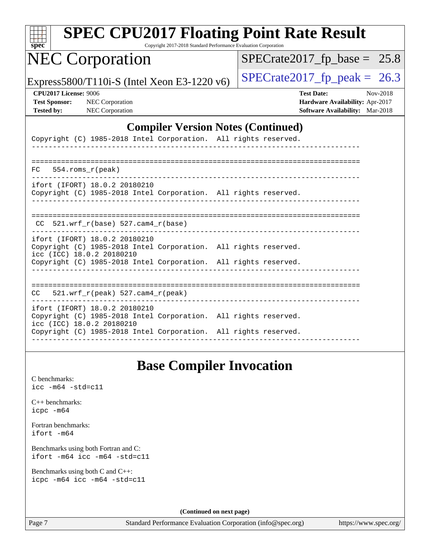| <b>SPEC CPU2017 Floating Point Rate Result</b><br>$s\overline{pec}$                                                           | Copyright 2017-2018 Standard Performance Evaluation Corporation |  |                                                                                         |          |
|-------------------------------------------------------------------------------------------------------------------------------|-----------------------------------------------------------------|--|-----------------------------------------------------------------------------------------|----------|
| <b>NEC Corporation</b>                                                                                                        |                                                                 |  | $SPECrate2017_fp\_base = 25.8$                                                          |          |
| Express5800/T110i-S (Intel Xeon E3-1220 v6)                                                                                   |                                                                 |  | $SPECTate2017$ _fp_peak = 26.3                                                          |          |
| <b>CPU2017 License: 9006</b><br><b>Test Sponsor:</b><br>NEC Corporation<br><b>NEC Corporation</b><br><b>Tested by:</b>        |                                                                 |  | <b>Test Date:</b><br>Hardware Availability: Apr-2017<br>Software Availability: Mar-2018 | Nov-2018 |
|                                                                                                                               | <b>Compiler Version Notes (Continued)</b>                       |  |                                                                                         |          |
| Copyright (C) 1985-2018 Intel Corporation. All rights reserved.                                                               |                                                                 |  |                                                                                         |          |
| 554.roms_r(peak)<br>FC.                                                                                                       |                                                                 |  |                                                                                         |          |
| ifort (IFORT) 18.0.2 20180210<br>Copyright (C) 1985-2018 Intel Corporation. All rights reserved.                              |                                                                 |  |                                                                                         |          |
| $CC$ 521.wrf_r(base) 527.cam4_r(base)                                                                                         |                                                                 |  |                                                                                         |          |
| ifort (IFORT) 18.0.2 20180210<br>Copyright (C) 1985-2018 Intel Corporation. All rights reserved.<br>icc (ICC) 18.0.2 20180210 |                                                                 |  |                                                                                         |          |
| Copyright (C) 1985-2018 Intel Corporation. All rights reserved.                                                               |                                                                 |  |                                                                                         |          |
| 521.wrf_r(peak) 527.cam4_r(peak)<br>CC                                                                                        |                                                                 |  |                                                                                         |          |
| ifort (IFORT) 18.0.2 20180210<br>Copyright (C) 1985-2018 Intel Corporation. All rights reserved.<br>icc (ICC) 18.0.2 20180210 |                                                                 |  |                                                                                         |          |
| Copyright (C) 1985-2018 Intel Corporation. All rights reserved.                                                               |                                                                 |  |                                                                                         |          |
|                                                                                                                               |                                                                 |  |                                                                                         |          |

### **[Base Compiler Invocation](http://www.spec.org/auto/cpu2017/Docs/result-fields.html#BaseCompilerInvocation)**

[C benchmarks](http://www.spec.org/auto/cpu2017/Docs/result-fields.html#Cbenchmarks): [icc -m64 -std=c11](http://www.spec.org/cpu2017/results/res2018q4/cpu2017-20181112-09502.flags.html#user_CCbase_intel_icc_64bit_c11_33ee0cdaae7deeeab2a9725423ba97205ce30f63b9926c2519791662299b76a0318f32ddfffdc46587804de3178b4f9328c46fa7c2b0cd779d7a61945c91cd35)

[C++ benchmarks:](http://www.spec.org/auto/cpu2017/Docs/result-fields.html#CXXbenchmarks) [icpc -m64](http://www.spec.org/cpu2017/results/res2018q4/cpu2017-20181112-09502.flags.html#user_CXXbase_intel_icpc_64bit_4ecb2543ae3f1412ef961e0650ca070fec7b7afdcd6ed48761b84423119d1bf6bdf5cad15b44d48e7256388bc77273b966e5eb805aefd121eb22e9299b2ec9d9)

[Fortran benchmarks](http://www.spec.org/auto/cpu2017/Docs/result-fields.html#Fortranbenchmarks): [ifort -m64](http://www.spec.org/cpu2017/results/res2018q4/cpu2017-20181112-09502.flags.html#user_FCbase_intel_ifort_64bit_24f2bb282fbaeffd6157abe4f878425411749daecae9a33200eee2bee2fe76f3b89351d69a8130dd5949958ce389cf37ff59a95e7a40d588e8d3a57e0c3fd751)

[Benchmarks using both Fortran and C](http://www.spec.org/auto/cpu2017/Docs/result-fields.html#BenchmarksusingbothFortranandC): [ifort -m64](http://www.spec.org/cpu2017/results/res2018q4/cpu2017-20181112-09502.flags.html#user_CC_FCbase_intel_ifort_64bit_24f2bb282fbaeffd6157abe4f878425411749daecae9a33200eee2bee2fe76f3b89351d69a8130dd5949958ce389cf37ff59a95e7a40d588e8d3a57e0c3fd751) [icc -m64 -std=c11](http://www.spec.org/cpu2017/results/res2018q4/cpu2017-20181112-09502.flags.html#user_CC_FCbase_intel_icc_64bit_c11_33ee0cdaae7deeeab2a9725423ba97205ce30f63b9926c2519791662299b76a0318f32ddfffdc46587804de3178b4f9328c46fa7c2b0cd779d7a61945c91cd35)

[Benchmarks using both C and C++](http://www.spec.org/auto/cpu2017/Docs/result-fields.html#BenchmarksusingbothCandCXX): [icpc -m64](http://www.spec.org/cpu2017/results/res2018q4/cpu2017-20181112-09502.flags.html#user_CC_CXXbase_intel_icpc_64bit_4ecb2543ae3f1412ef961e0650ca070fec7b7afdcd6ed48761b84423119d1bf6bdf5cad15b44d48e7256388bc77273b966e5eb805aefd121eb22e9299b2ec9d9) [icc -m64 -std=c11](http://www.spec.org/cpu2017/results/res2018q4/cpu2017-20181112-09502.flags.html#user_CC_CXXbase_intel_icc_64bit_c11_33ee0cdaae7deeeab2a9725423ba97205ce30f63b9926c2519791662299b76a0318f32ddfffdc46587804de3178b4f9328c46fa7c2b0cd779d7a61945c91cd35)

**(Continued on next page)**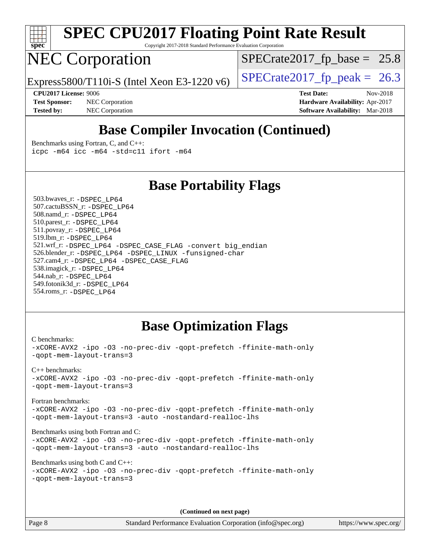

Copyright 2017-2018 Standard Performance Evaluation Corporation

### NEC Corporation

 $SPECTate2017_fp\_base = 25.8$ 

Express5800/T110i-S (Intel Xeon E3-1220 v6) [SPECrate2017\\_fp\\_peak =](http://www.spec.org/auto/cpu2017/Docs/result-fields.html#SPECrate2017fppeak) 26.3

**[Tested by:](http://www.spec.org/auto/cpu2017/Docs/result-fields.html#Testedby)** NEC Corporation **[Software Availability:](http://www.spec.org/auto/cpu2017/Docs/result-fields.html#SoftwareAvailability)** Mar-2018

**[CPU2017 License:](http://www.spec.org/auto/cpu2017/Docs/result-fields.html#CPU2017License)** 9006 **[Test Date:](http://www.spec.org/auto/cpu2017/Docs/result-fields.html#TestDate)** Nov-2018 **[Test Sponsor:](http://www.spec.org/auto/cpu2017/Docs/result-fields.html#TestSponsor)** NEC Corporation **[Hardware Availability:](http://www.spec.org/auto/cpu2017/Docs/result-fields.html#HardwareAvailability)** Apr-2017

### **[Base Compiler Invocation \(Continued\)](http://www.spec.org/auto/cpu2017/Docs/result-fields.html#BaseCompilerInvocation)**

[Benchmarks using Fortran, C, and C++:](http://www.spec.org/auto/cpu2017/Docs/result-fields.html#BenchmarksusingFortranCandCXX) [icpc -m64](http://www.spec.org/cpu2017/results/res2018q4/cpu2017-20181112-09502.flags.html#user_CC_CXX_FCbase_intel_icpc_64bit_4ecb2543ae3f1412ef961e0650ca070fec7b7afdcd6ed48761b84423119d1bf6bdf5cad15b44d48e7256388bc77273b966e5eb805aefd121eb22e9299b2ec9d9) [icc -m64 -std=c11](http://www.spec.org/cpu2017/results/res2018q4/cpu2017-20181112-09502.flags.html#user_CC_CXX_FCbase_intel_icc_64bit_c11_33ee0cdaae7deeeab2a9725423ba97205ce30f63b9926c2519791662299b76a0318f32ddfffdc46587804de3178b4f9328c46fa7c2b0cd779d7a61945c91cd35) [ifort -m64](http://www.spec.org/cpu2017/results/res2018q4/cpu2017-20181112-09502.flags.html#user_CC_CXX_FCbase_intel_ifort_64bit_24f2bb282fbaeffd6157abe4f878425411749daecae9a33200eee2bee2fe76f3b89351d69a8130dd5949958ce389cf37ff59a95e7a40d588e8d3a57e0c3fd751)

### **[Base Portability Flags](http://www.spec.org/auto/cpu2017/Docs/result-fields.html#BasePortabilityFlags)**

 503.bwaves\_r: [-DSPEC\\_LP64](http://www.spec.org/cpu2017/results/res2018q4/cpu2017-20181112-09502.flags.html#suite_basePORTABILITY503_bwaves_r_DSPEC_LP64) 507.cactuBSSN\_r: [-DSPEC\\_LP64](http://www.spec.org/cpu2017/results/res2018q4/cpu2017-20181112-09502.flags.html#suite_basePORTABILITY507_cactuBSSN_r_DSPEC_LP64) 508.namd\_r: [-DSPEC\\_LP64](http://www.spec.org/cpu2017/results/res2018q4/cpu2017-20181112-09502.flags.html#suite_basePORTABILITY508_namd_r_DSPEC_LP64) 510.parest\_r: [-DSPEC\\_LP64](http://www.spec.org/cpu2017/results/res2018q4/cpu2017-20181112-09502.flags.html#suite_basePORTABILITY510_parest_r_DSPEC_LP64) 511.povray\_r: [-DSPEC\\_LP64](http://www.spec.org/cpu2017/results/res2018q4/cpu2017-20181112-09502.flags.html#suite_basePORTABILITY511_povray_r_DSPEC_LP64) 519.lbm\_r: [-DSPEC\\_LP64](http://www.spec.org/cpu2017/results/res2018q4/cpu2017-20181112-09502.flags.html#suite_basePORTABILITY519_lbm_r_DSPEC_LP64) 521.wrf\_r: [-DSPEC\\_LP64](http://www.spec.org/cpu2017/results/res2018q4/cpu2017-20181112-09502.flags.html#suite_basePORTABILITY521_wrf_r_DSPEC_LP64) [-DSPEC\\_CASE\\_FLAG](http://www.spec.org/cpu2017/results/res2018q4/cpu2017-20181112-09502.flags.html#b521.wrf_r_baseCPORTABILITY_DSPEC_CASE_FLAG) [-convert big\\_endian](http://www.spec.org/cpu2017/results/res2018q4/cpu2017-20181112-09502.flags.html#user_baseFPORTABILITY521_wrf_r_convert_big_endian_c3194028bc08c63ac5d04de18c48ce6d347e4e562e8892b8bdbdc0214820426deb8554edfa529a3fb25a586e65a3d812c835984020483e7e73212c4d31a38223) 526.blender\_r: [-DSPEC\\_LP64](http://www.spec.org/cpu2017/results/res2018q4/cpu2017-20181112-09502.flags.html#suite_basePORTABILITY526_blender_r_DSPEC_LP64) [-DSPEC\\_LINUX](http://www.spec.org/cpu2017/results/res2018q4/cpu2017-20181112-09502.flags.html#b526.blender_r_baseCPORTABILITY_DSPEC_LINUX) [-funsigned-char](http://www.spec.org/cpu2017/results/res2018q4/cpu2017-20181112-09502.flags.html#user_baseCPORTABILITY526_blender_r_force_uchar_40c60f00ab013830e2dd6774aeded3ff59883ba5a1fc5fc14077f794d777847726e2a5858cbc7672e36e1b067e7e5c1d9a74f7176df07886a243d7cc18edfe67) 527.cam4\_r: [-DSPEC\\_LP64](http://www.spec.org/cpu2017/results/res2018q4/cpu2017-20181112-09502.flags.html#suite_basePORTABILITY527_cam4_r_DSPEC_LP64) [-DSPEC\\_CASE\\_FLAG](http://www.spec.org/cpu2017/results/res2018q4/cpu2017-20181112-09502.flags.html#b527.cam4_r_baseCPORTABILITY_DSPEC_CASE_FLAG) 538.imagick\_r: [-DSPEC\\_LP64](http://www.spec.org/cpu2017/results/res2018q4/cpu2017-20181112-09502.flags.html#suite_basePORTABILITY538_imagick_r_DSPEC_LP64) 544.nab\_r: [-DSPEC\\_LP64](http://www.spec.org/cpu2017/results/res2018q4/cpu2017-20181112-09502.flags.html#suite_basePORTABILITY544_nab_r_DSPEC_LP64) 549.fotonik3d\_r: [-DSPEC\\_LP64](http://www.spec.org/cpu2017/results/res2018q4/cpu2017-20181112-09502.flags.html#suite_basePORTABILITY549_fotonik3d_r_DSPEC_LP64) 554.roms\_r: [-DSPEC\\_LP64](http://www.spec.org/cpu2017/results/res2018q4/cpu2017-20181112-09502.flags.html#suite_basePORTABILITY554_roms_r_DSPEC_LP64)

### **[Base Optimization Flags](http://www.spec.org/auto/cpu2017/Docs/result-fields.html#BaseOptimizationFlags)**

[C benchmarks](http://www.spec.org/auto/cpu2017/Docs/result-fields.html#Cbenchmarks): [-xCORE-AVX2](http://www.spec.org/cpu2017/results/res2018q4/cpu2017-20181112-09502.flags.html#user_CCbase_f-xCORE-AVX2) [-ipo](http://www.spec.org/cpu2017/results/res2018q4/cpu2017-20181112-09502.flags.html#user_CCbase_f-ipo) [-O3](http://www.spec.org/cpu2017/results/res2018q4/cpu2017-20181112-09502.flags.html#user_CCbase_f-O3) [-no-prec-div](http://www.spec.org/cpu2017/results/res2018q4/cpu2017-20181112-09502.flags.html#user_CCbase_f-no-prec-div) [-qopt-prefetch](http://www.spec.org/cpu2017/results/res2018q4/cpu2017-20181112-09502.flags.html#user_CCbase_f-qopt-prefetch) [-ffinite-math-only](http://www.spec.org/cpu2017/results/res2018q4/cpu2017-20181112-09502.flags.html#user_CCbase_f_finite_math_only_cb91587bd2077682c4b38af759c288ed7c732db004271a9512da14a4f8007909a5f1427ecbf1a0fb78ff2a814402c6114ac565ca162485bbcae155b5e4258871) [-qopt-mem-layout-trans=3](http://www.spec.org/cpu2017/results/res2018q4/cpu2017-20181112-09502.flags.html#user_CCbase_f-qopt-mem-layout-trans_de80db37974c74b1f0e20d883f0b675c88c3b01e9d123adea9b28688d64333345fb62bc4a798493513fdb68f60282f9a726aa07f478b2f7113531aecce732043) [C++ benchmarks:](http://www.spec.org/auto/cpu2017/Docs/result-fields.html#CXXbenchmarks) [-xCORE-AVX2](http://www.spec.org/cpu2017/results/res2018q4/cpu2017-20181112-09502.flags.html#user_CXXbase_f-xCORE-AVX2) [-ipo](http://www.spec.org/cpu2017/results/res2018q4/cpu2017-20181112-09502.flags.html#user_CXXbase_f-ipo) [-O3](http://www.spec.org/cpu2017/results/res2018q4/cpu2017-20181112-09502.flags.html#user_CXXbase_f-O3) [-no-prec-div](http://www.spec.org/cpu2017/results/res2018q4/cpu2017-20181112-09502.flags.html#user_CXXbase_f-no-prec-div) [-qopt-prefetch](http://www.spec.org/cpu2017/results/res2018q4/cpu2017-20181112-09502.flags.html#user_CXXbase_f-qopt-prefetch) [-ffinite-math-only](http://www.spec.org/cpu2017/results/res2018q4/cpu2017-20181112-09502.flags.html#user_CXXbase_f_finite_math_only_cb91587bd2077682c4b38af759c288ed7c732db004271a9512da14a4f8007909a5f1427ecbf1a0fb78ff2a814402c6114ac565ca162485bbcae155b5e4258871) [-qopt-mem-layout-trans=3](http://www.spec.org/cpu2017/results/res2018q4/cpu2017-20181112-09502.flags.html#user_CXXbase_f-qopt-mem-layout-trans_de80db37974c74b1f0e20d883f0b675c88c3b01e9d123adea9b28688d64333345fb62bc4a798493513fdb68f60282f9a726aa07f478b2f7113531aecce732043) [Fortran benchmarks](http://www.spec.org/auto/cpu2017/Docs/result-fields.html#Fortranbenchmarks): [-xCORE-AVX2](http://www.spec.org/cpu2017/results/res2018q4/cpu2017-20181112-09502.flags.html#user_FCbase_f-xCORE-AVX2) [-ipo](http://www.spec.org/cpu2017/results/res2018q4/cpu2017-20181112-09502.flags.html#user_FCbase_f-ipo) [-O3](http://www.spec.org/cpu2017/results/res2018q4/cpu2017-20181112-09502.flags.html#user_FCbase_f-O3) [-no-prec-div](http://www.spec.org/cpu2017/results/res2018q4/cpu2017-20181112-09502.flags.html#user_FCbase_f-no-prec-div) [-qopt-prefetch](http://www.spec.org/cpu2017/results/res2018q4/cpu2017-20181112-09502.flags.html#user_FCbase_f-qopt-prefetch) [-ffinite-math-only](http://www.spec.org/cpu2017/results/res2018q4/cpu2017-20181112-09502.flags.html#user_FCbase_f_finite_math_only_cb91587bd2077682c4b38af759c288ed7c732db004271a9512da14a4f8007909a5f1427ecbf1a0fb78ff2a814402c6114ac565ca162485bbcae155b5e4258871) [-qopt-mem-layout-trans=3](http://www.spec.org/cpu2017/results/res2018q4/cpu2017-20181112-09502.flags.html#user_FCbase_f-qopt-mem-layout-trans_de80db37974c74b1f0e20d883f0b675c88c3b01e9d123adea9b28688d64333345fb62bc4a798493513fdb68f60282f9a726aa07f478b2f7113531aecce732043) [-auto](http://www.spec.org/cpu2017/results/res2018q4/cpu2017-20181112-09502.flags.html#user_FCbase_f-auto) [-nostandard-realloc-lhs](http://www.spec.org/cpu2017/results/res2018q4/cpu2017-20181112-09502.flags.html#user_FCbase_f_2003_std_realloc_82b4557e90729c0f113870c07e44d33d6f5a304b4f63d4c15d2d0f1fab99f5daaed73bdb9275d9ae411527f28b936061aa8b9c8f2d63842963b95c9dd6426b8a) [Benchmarks using both Fortran and C](http://www.spec.org/auto/cpu2017/Docs/result-fields.html#BenchmarksusingbothFortranandC): [-xCORE-AVX2](http://www.spec.org/cpu2017/results/res2018q4/cpu2017-20181112-09502.flags.html#user_CC_FCbase_f-xCORE-AVX2) [-ipo](http://www.spec.org/cpu2017/results/res2018q4/cpu2017-20181112-09502.flags.html#user_CC_FCbase_f-ipo) [-O3](http://www.spec.org/cpu2017/results/res2018q4/cpu2017-20181112-09502.flags.html#user_CC_FCbase_f-O3) [-no-prec-div](http://www.spec.org/cpu2017/results/res2018q4/cpu2017-20181112-09502.flags.html#user_CC_FCbase_f-no-prec-div) [-qopt-prefetch](http://www.spec.org/cpu2017/results/res2018q4/cpu2017-20181112-09502.flags.html#user_CC_FCbase_f-qopt-prefetch) [-ffinite-math-only](http://www.spec.org/cpu2017/results/res2018q4/cpu2017-20181112-09502.flags.html#user_CC_FCbase_f_finite_math_only_cb91587bd2077682c4b38af759c288ed7c732db004271a9512da14a4f8007909a5f1427ecbf1a0fb78ff2a814402c6114ac565ca162485bbcae155b5e4258871) [-qopt-mem-layout-trans=3](http://www.spec.org/cpu2017/results/res2018q4/cpu2017-20181112-09502.flags.html#user_CC_FCbase_f-qopt-mem-layout-trans_de80db37974c74b1f0e20d883f0b675c88c3b01e9d123adea9b28688d64333345fb62bc4a798493513fdb68f60282f9a726aa07f478b2f7113531aecce732043) [-auto](http://www.spec.org/cpu2017/results/res2018q4/cpu2017-20181112-09502.flags.html#user_CC_FCbase_f-auto) [-nostandard-realloc-lhs](http://www.spec.org/cpu2017/results/res2018q4/cpu2017-20181112-09502.flags.html#user_CC_FCbase_f_2003_std_realloc_82b4557e90729c0f113870c07e44d33d6f5a304b4f63d4c15d2d0f1fab99f5daaed73bdb9275d9ae411527f28b936061aa8b9c8f2d63842963b95c9dd6426b8a) [Benchmarks using both C and C++](http://www.spec.org/auto/cpu2017/Docs/result-fields.html#BenchmarksusingbothCandCXX): [-xCORE-AVX2](http://www.spec.org/cpu2017/results/res2018q4/cpu2017-20181112-09502.flags.html#user_CC_CXXbase_f-xCORE-AVX2) [-ipo](http://www.spec.org/cpu2017/results/res2018q4/cpu2017-20181112-09502.flags.html#user_CC_CXXbase_f-ipo) [-O3](http://www.spec.org/cpu2017/results/res2018q4/cpu2017-20181112-09502.flags.html#user_CC_CXXbase_f-O3) [-no-prec-div](http://www.spec.org/cpu2017/results/res2018q4/cpu2017-20181112-09502.flags.html#user_CC_CXXbase_f-no-prec-div) [-qopt-prefetch](http://www.spec.org/cpu2017/results/res2018q4/cpu2017-20181112-09502.flags.html#user_CC_CXXbase_f-qopt-prefetch) [-ffinite-math-only](http://www.spec.org/cpu2017/results/res2018q4/cpu2017-20181112-09502.flags.html#user_CC_CXXbase_f_finite_math_only_cb91587bd2077682c4b38af759c288ed7c732db004271a9512da14a4f8007909a5f1427ecbf1a0fb78ff2a814402c6114ac565ca162485bbcae155b5e4258871) [-qopt-mem-layout-trans=3](http://www.spec.org/cpu2017/results/res2018q4/cpu2017-20181112-09502.flags.html#user_CC_CXXbase_f-qopt-mem-layout-trans_de80db37974c74b1f0e20d883f0b675c88c3b01e9d123adea9b28688d64333345fb62bc4a798493513fdb68f60282f9a726aa07f478b2f7113531aecce732043)

**(Continued on next page)**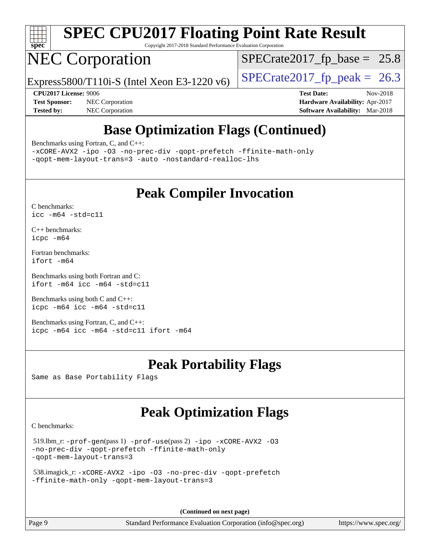

Copyright 2017-2018 Standard Performance Evaluation Corporation

## NEC Corporation

 $SPECTate2017_fp\_base = 25.8$ 

Express5800/T110i-S (Intel Xeon E3-1220 v6) [SPECrate2017\\_fp\\_peak =](http://www.spec.org/auto/cpu2017/Docs/result-fields.html#SPECrate2017fppeak) 26.3

**[Tested by:](http://www.spec.org/auto/cpu2017/Docs/result-fields.html#Testedby)** NEC Corporation **[Software Availability:](http://www.spec.org/auto/cpu2017/Docs/result-fields.html#SoftwareAvailability)** Mar-2018

**[CPU2017 License:](http://www.spec.org/auto/cpu2017/Docs/result-fields.html#CPU2017License)** 9006 **[Test Date:](http://www.spec.org/auto/cpu2017/Docs/result-fields.html#TestDate)** Nov-2018 **[Test Sponsor:](http://www.spec.org/auto/cpu2017/Docs/result-fields.html#TestSponsor)** NEC Corporation **[Hardware Availability:](http://www.spec.org/auto/cpu2017/Docs/result-fields.html#HardwareAvailability)** Apr-2017

### **[Base Optimization Flags \(Continued\)](http://www.spec.org/auto/cpu2017/Docs/result-fields.html#BaseOptimizationFlags)**

[Benchmarks using Fortran, C, and C++:](http://www.spec.org/auto/cpu2017/Docs/result-fields.html#BenchmarksusingFortranCandCXX)

[-xCORE-AVX2](http://www.spec.org/cpu2017/results/res2018q4/cpu2017-20181112-09502.flags.html#user_CC_CXX_FCbase_f-xCORE-AVX2) [-ipo](http://www.spec.org/cpu2017/results/res2018q4/cpu2017-20181112-09502.flags.html#user_CC_CXX_FCbase_f-ipo) [-O3](http://www.spec.org/cpu2017/results/res2018q4/cpu2017-20181112-09502.flags.html#user_CC_CXX_FCbase_f-O3) [-no-prec-div](http://www.spec.org/cpu2017/results/res2018q4/cpu2017-20181112-09502.flags.html#user_CC_CXX_FCbase_f-no-prec-div) [-qopt-prefetch](http://www.spec.org/cpu2017/results/res2018q4/cpu2017-20181112-09502.flags.html#user_CC_CXX_FCbase_f-qopt-prefetch) [-ffinite-math-only](http://www.spec.org/cpu2017/results/res2018q4/cpu2017-20181112-09502.flags.html#user_CC_CXX_FCbase_f_finite_math_only_cb91587bd2077682c4b38af759c288ed7c732db004271a9512da14a4f8007909a5f1427ecbf1a0fb78ff2a814402c6114ac565ca162485bbcae155b5e4258871) [-qopt-mem-layout-trans=3](http://www.spec.org/cpu2017/results/res2018q4/cpu2017-20181112-09502.flags.html#user_CC_CXX_FCbase_f-qopt-mem-layout-trans_de80db37974c74b1f0e20d883f0b675c88c3b01e9d123adea9b28688d64333345fb62bc4a798493513fdb68f60282f9a726aa07f478b2f7113531aecce732043) [-auto](http://www.spec.org/cpu2017/results/res2018q4/cpu2017-20181112-09502.flags.html#user_CC_CXX_FCbase_f-auto) [-nostandard-realloc-lhs](http://www.spec.org/cpu2017/results/res2018q4/cpu2017-20181112-09502.flags.html#user_CC_CXX_FCbase_f_2003_std_realloc_82b4557e90729c0f113870c07e44d33d6f5a304b4f63d4c15d2d0f1fab99f5daaed73bdb9275d9ae411527f28b936061aa8b9c8f2d63842963b95c9dd6426b8a)

### **[Peak Compiler Invocation](http://www.spec.org/auto/cpu2017/Docs/result-fields.html#PeakCompilerInvocation)**

[C benchmarks](http://www.spec.org/auto/cpu2017/Docs/result-fields.html#Cbenchmarks): [icc -m64 -std=c11](http://www.spec.org/cpu2017/results/res2018q4/cpu2017-20181112-09502.flags.html#user_CCpeak_intel_icc_64bit_c11_33ee0cdaae7deeeab2a9725423ba97205ce30f63b9926c2519791662299b76a0318f32ddfffdc46587804de3178b4f9328c46fa7c2b0cd779d7a61945c91cd35)

[C++ benchmarks:](http://www.spec.org/auto/cpu2017/Docs/result-fields.html#CXXbenchmarks) [icpc -m64](http://www.spec.org/cpu2017/results/res2018q4/cpu2017-20181112-09502.flags.html#user_CXXpeak_intel_icpc_64bit_4ecb2543ae3f1412ef961e0650ca070fec7b7afdcd6ed48761b84423119d1bf6bdf5cad15b44d48e7256388bc77273b966e5eb805aefd121eb22e9299b2ec9d9)

[Fortran benchmarks](http://www.spec.org/auto/cpu2017/Docs/result-fields.html#Fortranbenchmarks): [ifort -m64](http://www.spec.org/cpu2017/results/res2018q4/cpu2017-20181112-09502.flags.html#user_FCpeak_intel_ifort_64bit_24f2bb282fbaeffd6157abe4f878425411749daecae9a33200eee2bee2fe76f3b89351d69a8130dd5949958ce389cf37ff59a95e7a40d588e8d3a57e0c3fd751)

[Benchmarks using both Fortran and C](http://www.spec.org/auto/cpu2017/Docs/result-fields.html#BenchmarksusingbothFortranandC): [ifort -m64](http://www.spec.org/cpu2017/results/res2018q4/cpu2017-20181112-09502.flags.html#user_CC_FCpeak_intel_ifort_64bit_24f2bb282fbaeffd6157abe4f878425411749daecae9a33200eee2bee2fe76f3b89351d69a8130dd5949958ce389cf37ff59a95e7a40d588e8d3a57e0c3fd751) [icc -m64 -std=c11](http://www.spec.org/cpu2017/results/res2018q4/cpu2017-20181112-09502.flags.html#user_CC_FCpeak_intel_icc_64bit_c11_33ee0cdaae7deeeab2a9725423ba97205ce30f63b9926c2519791662299b76a0318f32ddfffdc46587804de3178b4f9328c46fa7c2b0cd779d7a61945c91cd35)

[Benchmarks using both C and C++](http://www.spec.org/auto/cpu2017/Docs/result-fields.html#BenchmarksusingbothCandCXX): [icpc -m64](http://www.spec.org/cpu2017/results/res2018q4/cpu2017-20181112-09502.flags.html#user_CC_CXXpeak_intel_icpc_64bit_4ecb2543ae3f1412ef961e0650ca070fec7b7afdcd6ed48761b84423119d1bf6bdf5cad15b44d48e7256388bc77273b966e5eb805aefd121eb22e9299b2ec9d9) [icc -m64 -std=c11](http://www.spec.org/cpu2017/results/res2018q4/cpu2017-20181112-09502.flags.html#user_CC_CXXpeak_intel_icc_64bit_c11_33ee0cdaae7deeeab2a9725423ba97205ce30f63b9926c2519791662299b76a0318f32ddfffdc46587804de3178b4f9328c46fa7c2b0cd779d7a61945c91cd35)

[Benchmarks using Fortran, C, and C++:](http://www.spec.org/auto/cpu2017/Docs/result-fields.html#BenchmarksusingFortranCandCXX) [icpc -m64](http://www.spec.org/cpu2017/results/res2018q4/cpu2017-20181112-09502.flags.html#user_CC_CXX_FCpeak_intel_icpc_64bit_4ecb2543ae3f1412ef961e0650ca070fec7b7afdcd6ed48761b84423119d1bf6bdf5cad15b44d48e7256388bc77273b966e5eb805aefd121eb22e9299b2ec9d9) [icc -m64 -std=c11](http://www.spec.org/cpu2017/results/res2018q4/cpu2017-20181112-09502.flags.html#user_CC_CXX_FCpeak_intel_icc_64bit_c11_33ee0cdaae7deeeab2a9725423ba97205ce30f63b9926c2519791662299b76a0318f32ddfffdc46587804de3178b4f9328c46fa7c2b0cd779d7a61945c91cd35) [ifort -m64](http://www.spec.org/cpu2017/results/res2018q4/cpu2017-20181112-09502.flags.html#user_CC_CXX_FCpeak_intel_ifort_64bit_24f2bb282fbaeffd6157abe4f878425411749daecae9a33200eee2bee2fe76f3b89351d69a8130dd5949958ce389cf37ff59a95e7a40d588e8d3a57e0c3fd751)

### **[Peak Portability Flags](http://www.spec.org/auto/cpu2017/Docs/result-fields.html#PeakPortabilityFlags)**

Same as Base Portability Flags

### **[Peak Optimization Flags](http://www.spec.org/auto/cpu2017/Docs/result-fields.html#PeakOptimizationFlags)**

[C benchmarks](http://www.spec.org/auto/cpu2017/Docs/result-fields.html#Cbenchmarks):

```
 519.lbm_r: -prof-gen(pass 1) -prof-use(pass 2) -ipo -xCORE-AVX2 -O3
-no-prec-div -qopt-prefetch -ffinite-math-only
-qopt-mem-layout-trans=3
```

```
 538.imagick_r: -xCORE-AVX2 -ipo -O3 -no-prec-div -qopt-prefetch
-ffinite-math-only -qopt-mem-layout-trans=3
```
**(Continued on next page)**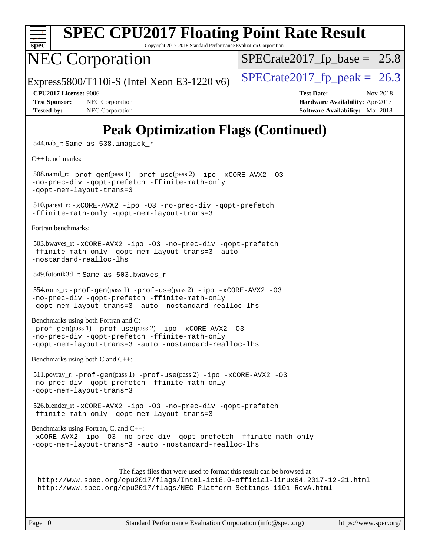

Copyright 2017-2018 Standard Performance Evaluation Corporation

# NEC Corporation

 $SPECTate2017_fp\_base = 25.8$ 

Express5800/T110i-S (Intel Xeon E3-1220 v6) [SPECrate2017\\_fp\\_peak =](http://www.spec.org/auto/cpu2017/Docs/result-fields.html#SPECrate2017fppeak)  $26.3$ 

**[Tested by:](http://www.spec.org/auto/cpu2017/Docs/result-fields.html#Testedby)** NEC Corporation **[Software Availability:](http://www.spec.org/auto/cpu2017/Docs/result-fields.html#SoftwareAvailability)** Mar-2018

**[CPU2017 License:](http://www.spec.org/auto/cpu2017/Docs/result-fields.html#CPU2017License)** 9006 **[Test Date:](http://www.spec.org/auto/cpu2017/Docs/result-fields.html#TestDate)** Nov-2018 **[Test Sponsor:](http://www.spec.org/auto/cpu2017/Docs/result-fields.html#TestSponsor)** NEC Corporation **[Hardware Availability:](http://www.spec.org/auto/cpu2017/Docs/result-fields.html#HardwareAvailability)** Apr-2017

### **[Peak Optimization Flags \(Continued\)](http://www.spec.org/auto/cpu2017/Docs/result-fields.html#PeakOptimizationFlags)**

544.nab\_r: Same as 538.imagick\_r

[C++ benchmarks:](http://www.spec.org/auto/cpu2017/Docs/result-fields.html#CXXbenchmarks)

 508.namd\_r: [-prof-gen](http://www.spec.org/cpu2017/results/res2018q4/cpu2017-20181112-09502.flags.html#user_peakPASS1_CXXFLAGSPASS1_LDFLAGS508_namd_r_prof_gen_5aa4926d6013ddb2a31985c654b3eb18169fc0c6952a63635c234f711e6e63dd76e94ad52365559451ec499a2cdb89e4dc58ba4c67ef54ca681ffbe1461d6b36)(pass 1) [-prof-use](http://www.spec.org/cpu2017/results/res2018q4/cpu2017-20181112-09502.flags.html#user_peakPASS2_CXXFLAGSPASS2_LDFLAGS508_namd_r_prof_use_1a21ceae95f36a2b53c25747139a6c16ca95bd9def2a207b4f0849963b97e94f5260e30a0c64f4bb623698870e679ca08317ef8150905d41bd88c6f78df73f19)(pass 2) [-ipo](http://www.spec.org/cpu2017/results/res2018q4/cpu2017-20181112-09502.flags.html#user_peakPASS1_CXXOPTIMIZEPASS2_CXXOPTIMIZE508_namd_r_f-ipo) [-xCORE-AVX2](http://www.spec.org/cpu2017/results/res2018q4/cpu2017-20181112-09502.flags.html#user_peakPASS2_CXXOPTIMIZE508_namd_r_f-xCORE-AVX2) [-O3](http://www.spec.org/cpu2017/results/res2018q4/cpu2017-20181112-09502.flags.html#user_peakPASS1_CXXOPTIMIZEPASS2_CXXOPTIMIZE508_namd_r_f-O3) [-no-prec-div](http://www.spec.org/cpu2017/results/res2018q4/cpu2017-20181112-09502.flags.html#user_peakPASS1_CXXOPTIMIZEPASS2_CXXOPTIMIZE508_namd_r_f-no-prec-div) [-qopt-prefetch](http://www.spec.org/cpu2017/results/res2018q4/cpu2017-20181112-09502.flags.html#user_peakPASS1_CXXOPTIMIZEPASS2_CXXOPTIMIZE508_namd_r_f-qopt-prefetch) [-ffinite-math-only](http://www.spec.org/cpu2017/results/res2018q4/cpu2017-20181112-09502.flags.html#user_peakPASS1_CXXOPTIMIZEPASS2_CXXOPTIMIZE508_namd_r_f_finite_math_only_cb91587bd2077682c4b38af759c288ed7c732db004271a9512da14a4f8007909a5f1427ecbf1a0fb78ff2a814402c6114ac565ca162485bbcae155b5e4258871) [-qopt-mem-layout-trans=3](http://www.spec.org/cpu2017/results/res2018q4/cpu2017-20181112-09502.flags.html#user_peakPASS1_CXXOPTIMIZEPASS2_CXXOPTIMIZE508_namd_r_f-qopt-mem-layout-trans_de80db37974c74b1f0e20d883f0b675c88c3b01e9d123adea9b28688d64333345fb62bc4a798493513fdb68f60282f9a726aa07f478b2f7113531aecce732043)

 510.parest\_r: [-xCORE-AVX2](http://www.spec.org/cpu2017/results/res2018q4/cpu2017-20181112-09502.flags.html#user_peakCXXOPTIMIZE510_parest_r_f-xCORE-AVX2) [-ipo](http://www.spec.org/cpu2017/results/res2018q4/cpu2017-20181112-09502.flags.html#user_peakCXXOPTIMIZE510_parest_r_f-ipo) [-O3](http://www.spec.org/cpu2017/results/res2018q4/cpu2017-20181112-09502.flags.html#user_peakCXXOPTIMIZE510_parest_r_f-O3) [-no-prec-div](http://www.spec.org/cpu2017/results/res2018q4/cpu2017-20181112-09502.flags.html#user_peakCXXOPTIMIZE510_parest_r_f-no-prec-div) [-qopt-prefetch](http://www.spec.org/cpu2017/results/res2018q4/cpu2017-20181112-09502.flags.html#user_peakCXXOPTIMIZE510_parest_r_f-qopt-prefetch) [-ffinite-math-only](http://www.spec.org/cpu2017/results/res2018q4/cpu2017-20181112-09502.flags.html#user_peakCXXOPTIMIZE510_parest_r_f_finite_math_only_cb91587bd2077682c4b38af759c288ed7c732db004271a9512da14a4f8007909a5f1427ecbf1a0fb78ff2a814402c6114ac565ca162485bbcae155b5e4258871) [-qopt-mem-layout-trans=3](http://www.spec.org/cpu2017/results/res2018q4/cpu2017-20181112-09502.flags.html#user_peakCXXOPTIMIZE510_parest_r_f-qopt-mem-layout-trans_de80db37974c74b1f0e20d883f0b675c88c3b01e9d123adea9b28688d64333345fb62bc4a798493513fdb68f60282f9a726aa07f478b2f7113531aecce732043)

[Fortran benchmarks](http://www.spec.org/auto/cpu2017/Docs/result-fields.html#Fortranbenchmarks):

```
 503.bwaves_r: -xCORE-AVX2 -ipo -O3 -no-prec-div -qopt-prefetch
-ffinite-math-only -qopt-mem-layout-trans=3 -auto
-nostandard-realloc-lhs
```
549.fotonik3d\_r: Same as 503.bwaves\_r

```
 554.roms_r: -prof-gen(pass 1) -prof-use(pass 2) -ipo -xCORE-AVX2 -O3
-no-prec-div -qopt-prefetch -ffinite-math-only
-qopt-mem-layout-trans=3 -auto -nostandard-realloc-lhs
```
[Benchmarks using both Fortran and C](http://www.spec.org/auto/cpu2017/Docs/result-fields.html#BenchmarksusingbothFortranandC):

[-prof-gen](http://www.spec.org/cpu2017/results/res2018q4/cpu2017-20181112-09502.flags.html#user_CC_FCpeak_prof_gen_5aa4926d6013ddb2a31985c654b3eb18169fc0c6952a63635c234f711e6e63dd76e94ad52365559451ec499a2cdb89e4dc58ba4c67ef54ca681ffbe1461d6b36)(pass 1) [-prof-use](http://www.spec.org/cpu2017/results/res2018q4/cpu2017-20181112-09502.flags.html#user_CC_FCpeak_prof_use_1a21ceae95f36a2b53c25747139a6c16ca95bd9def2a207b4f0849963b97e94f5260e30a0c64f4bb623698870e679ca08317ef8150905d41bd88c6f78df73f19)(pass 2) [-ipo](http://www.spec.org/cpu2017/results/res2018q4/cpu2017-20181112-09502.flags.html#user_CC_FCpeak_f-ipo) [-xCORE-AVX2](http://www.spec.org/cpu2017/results/res2018q4/cpu2017-20181112-09502.flags.html#user_CC_FCpeak_f-xCORE-AVX2) [-O3](http://www.spec.org/cpu2017/results/res2018q4/cpu2017-20181112-09502.flags.html#user_CC_FCpeak_f-O3) [-no-prec-div](http://www.spec.org/cpu2017/results/res2018q4/cpu2017-20181112-09502.flags.html#user_CC_FCpeak_f-no-prec-div) [-qopt-prefetch](http://www.spec.org/cpu2017/results/res2018q4/cpu2017-20181112-09502.flags.html#user_CC_FCpeak_f-qopt-prefetch) [-ffinite-math-only](http://www.spec.org/cpu2017/results/res2018q4/cpu2017-20181112-09502.flags.html#user_CC_FCpeak_f_finite_math_only_cb91587bd2077682c4b38af759c288ed7c732db004271a9512da14a4f8007909a5f1427ecbf1a0fb78ff2a814402c6114ac565ca162485bbcae155b5e4258871) [-qopt-mem-layout-trans=3](http://www.spec.org/cpu2017/results/res2018q4/cpu2017-20181112-09502.flags.html#user_CC_FCpeak_f-qopt-mem-layout-trans_de80db37974c74b1f0e20d883f0b675c88c3b01e9d123adea9b28688d64333345fb62bc4a798493513fdb68f60282f9a726aa07f478b2f7113531aecce732043) [-auto](http://www.spec.org/cpu2017/results/res2018q4/cpu2017-20181112-09502.flags.html#user_CC_FCpeak_f-auto) [-nostandard-realloc-lhs](http://www.spec.org/cpu2017/results/res2018q4/cpu2017-20181112-09502.flags.html#user_CC_FCpeak_f_2003_std_realloc_82b4557e90729c0f113870c07e44d33d6f5a304b4f63d4c15d2d0f1fab99f5daaed73bdb9275d9ae411527f28b936061aa8b9c8f2d63842963b95c9dd6426b8a)

[Benchmarks using both C and C++](http://www.spec.org/auto/cpu2017/Docs/result-fields.html#BenchmarksusingbothCandCXX):

```
 511.povray_r: -prof-gen(pass 1) -prof-use(pass 2) -ipo -xCORE-AVX2 -O3
-no-prec-div -qopt-prefetch -ffinite-math-only
-qopt-mem-layout-trans=3
```

```
 526.blender_r: -xCORE-AVX2 -ipo -O3 -no-prec-div -qopt-prefetch
-ffinite-math-only -qopt-mem-layout-trans=3
```
[Benchmarks using Fortran, C, and C++:](http://www.spec.org/auto/cpu2017/Docs/result-fields.html#BenchmarksusingFortranCandCXX) [-xCORE-AVX2](http://www.spec.org/cpu2017/results/res2018q4/cpu2017-20181112-09502.flags.html#user_CC_CXX_FCpeak_f-xCORE-AVX2) [-ipo](http://www.spec.org/cpu2017/results/res2018q4/cpu2017-20181112-09502.flags.html#user_CC_CXX_FCpeak_f-ipo) [-O3](http://www.spec.org/cpu2017/results/res2018q4/cpu2017-20181112-09502.flags.html#user_CC_CXX_FCpeak_f-O3) [-no-prec-div](http://www.spec.org/cpu2017/results/res2018q4/cpu2017-20181112-09502.flags.html#user_CC_CXX_FCpeak_f-no-prec-div) [-qopt-prefetch](http://www.spec.org/cpu2017/results/res2018q4/cpu2017-20181112-09502.flags.html#user_CC_CXX_FCpeak_f-qopt-prefetch) [-ffinite-math-only](http://www.spec.org/cpu2017/results/res2018q4/cpu2017-20181112-09502.flags.html#user_CC_CXX_FCpeak_f_finite_math_only_cb91587bd2077682c4b38af759c288ed7c732db004271a9512da14a4f8007909a5f1427ecbf1a0fb78ff2a814402c6114ac565ca162485bbcae155b5e4258871) [-qopt-mem-layout-trans=3](http://www.spec.org/cpu2017/results/res2018q4/cpu2017-20181112-09502.flags.html#user_CC_CXX_FCpeak_f-qopt-mem-layout-trans_de80db37974c74b1f0e20d883f0b675c88c3b01e9d123adea9b28688d64333345fb62bc4a798493513fdb68f60282f9a726aa07f478b2f7113531aecce732043) [-auto](http://www.spec.org/cpu2017/results/res2018q4/cpu2017-20181112-09502.flags.html#user_CC_CXX_FCpeak_f-auto) [-nostandard-realloc-lhs](http://www.spec.org/cpu2017/results/res2018q4/cpu2017-20181112-09502.flags.html#user_CC_CXX_FCpeak_f_2003_std_realloc_82b4557e90729c0f113870c07e44d33d6f5a304b4f63d4c15d2d0f1fab99f5daaed73bdb9275d9ae411527f28b936061aa8b9c8f2d63842963b95c9dd6426b8a)

```
The flags files that were used to format this result can be browsed at
http://www.spec.org/cpu2017/flags/Intel-ic18.0-official-linux64.2017-12-21.html
http://www.spec.org/cpu2017/flags/NEC-Platform-Settings-110i-RevA.html
```